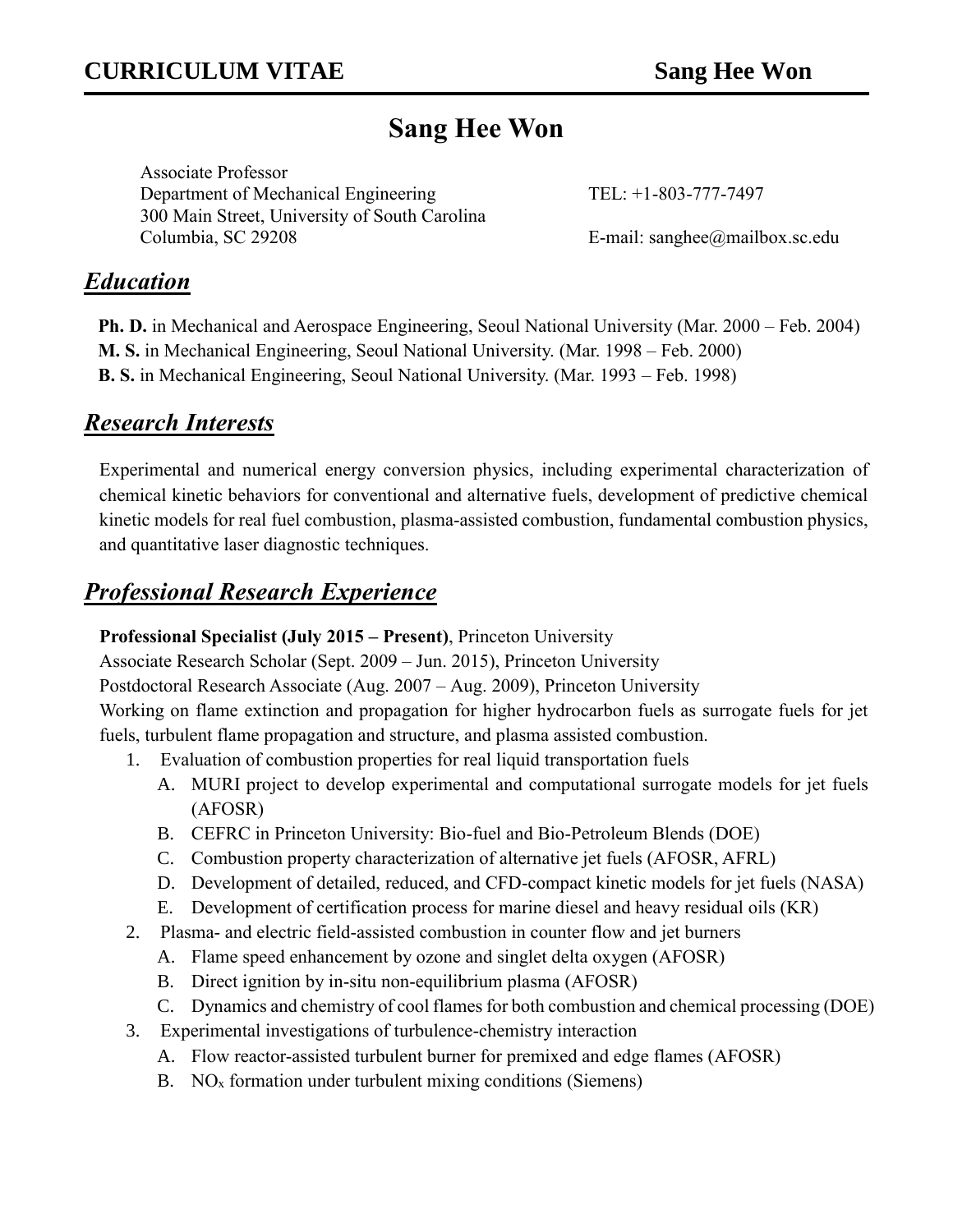# **Sang Hee Won**

Associate Professor Department of Mechanical Engineering TEL: +1-803-777-7497 300 Main Street, University of South Carolina Columbia, SC 29208 E-mail: sanghee@mailbox.sc.edu

### *Education*

**Ph. D.** in Mechanical and Aerospace Engineering, Seoul National University (Mar. 2000 – Feb. 2004) **M. S.** in Mechanical Engineering, Seoul National University. (Mar. 1998 – Feb. 2000) **B. S.** in Mechanical Engineering, Seoul National University. (Mar. 1993 – Feb. 1998)

### *Research Interests*

Experimental and numerical energy conversion physics, including experimental characterization of chemical kinetic behaviors for conventional and alternative fuels, development of predictive chemical kinetic models for real fuel combustion, plasma-assisted combustion, fundamental combustion physics, and quantitative laser diagnostic techniques.

## *Professional Research Experience*

#### **Professional Specialist (July 2015 – Present)**, Princeton University

Associate Research Scholar (Sept. 2009 – Jun. 2015), Princeton University

Postdoctoral Research Associate (Aug. 2007 – Aug. 2009), Princeton University

Working on flame extinction and propagation for higher hydrocarbon fuels as surrogate fuels for jet fuels, turbulent flame propagation and structure, and plasma assisted combustion.

- 1. Evaluation of combustion properties for real liquid transportation fuels
	- A. MURI project to develop experimental and computational surrogate models for jet fuels (AFOSR)
	- B. CEFRC in Princeton University: Bio-fuel and Bio-Petroleum Blends (DOE)
	- C. Combustion property characterization of alternative jet fuels (AFOSR, AFRL)
	- D. Development of detailed, reduced, and CFD-compact kinetic models for jet fuels (NASA)
	- E. Development of certification process for marine diesel and heavy residual oils (KR)
- 2. Plasma- and electric field-assisted combustion in counter flow and jet burners
	- A. Flame speed enhancement by ozone and singlet delta oxygen (AFOSR)
	- B. Direct ignition by in-situ non-equilibrium plasma (AFOSR)
	- C. Dynamics and chemistry of cool flames for both combustion and chemical processing (DOE)
- 3. Experimental investigations of turbulence-chemistry interaction
	- A. Flow reactor-assisted turbulent burner for premixed and edge flames (AFOSR)
	- B. NO<sub>x</sub> formation under turbulent mixing conditions (Siemens)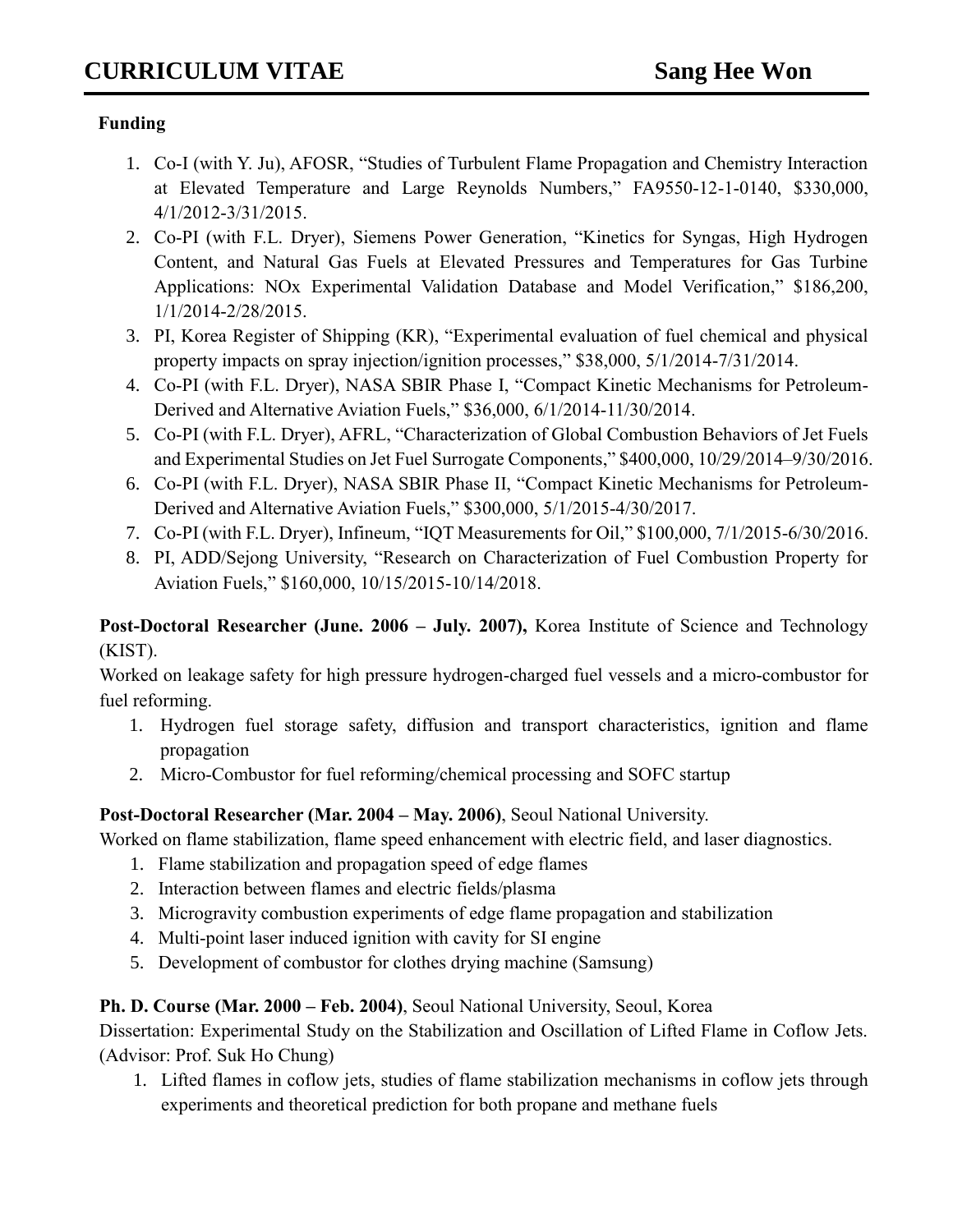#### **Funding**

- 1. Co-I (with Y. Ju), AFOSR, "Studies of Turbulent Flame Propagation and Chemistry Interaction at Elevated Temperature and Large Reynolds Numbers," FA9550-12-1-0140, \$330,000, 4/1/2012-3/31/2015.
- 2. Co-PI (with F.L. Dryer), Siemens Power Generation, "Kinetics for Syngas, High Hydrogen Content, and Natural Gas Fuels at Elevated Pressures and Temperatures for Gas Turbine Applications: NOx Experimental Validation Database and Model Verification," \$186,200, 1/1/2014-2/28/2015.
- 3. PI, Korea Register of Shipping (KR), "Experimental evaluation of fuel chemical and physical property impacts on spray injection/ignition processes," \$38,000, 5/1/2014-7/31/2014.
- 4. Co-PI (with F.L. Dryer), NASA SBIR Phase I, "Compact Kinetic Mechanisms for Petroleum-Derived and Alternative Aviation Fuels," \$36,000, 6/1/2014-11/30/2014.
- 5. Co-PI (with F.L. Dryer), AFRL, "Characterization of Global Combustion Behaviors of Jet Fuels and Experimental Studies on Jet Fuel Surrogate Components," \$400,000, 10/29/2014–9/30/2016.
- 6. Co-PI (with F.L. Dryer), NASA SBIR Phase II, "Compact Kinetic Mechanisms for Petroleum-Derived and Alternative Aviation Fuels," \$300,000, 5/1/2015-4/30/2017.
- 7. Co-PI (with F.L. Dryer), Infineum, "IQT Measurements for Oil," \$100,000, 7/1/2015-6/30/2016.
- 8. PI, ADD/Sejong University, "Research on Characterization of Fuel Combustion Property for Aviation Fuels," \$160,000, 10/15/2015-10/14/2018.

**Post-Doctoral Researcher (June. 2006 – July. 2007),** Korea Institute of Science and Technology (KIST).

Worked on leakage safety for high pressure hydrogen-charged fuel vessels and a micro-combustor for fuel reforming.

- 1. Hydrogen fuel storage safety, diffusion and transport characteristics, ignition and flame propagation
- 2. Micro-Combustor for fuel reforming/chemical processing and SOFC startup

**Post-Doctoral Researcher (Mar. 2004 – May. 2006)**, Seoul National University.

Worked on flame stabilization, flame speed enhancement with electric field, and laser diagnostics.

- 1. Flame stabilization and propagation speed of edge flames
- 2. Interaction between flames and electric fields/plasma
- 3. Microgravity combustion experiments of edge flame propagation and stabilization
- 4. Multi-point laser induced ignition with cavity for SI engine
- 5. Development of combustor for clothes drying machine (Samsung)

#### **Ph. D. Course (Mar. 2000 – Feb. 2004)**, Seoul National University, Seoul, Korea

Dissertation: Experimental Study on the Stabilization and Oscillation of Lifted Flame in Coflow Jets. (Advisor: Prof. Suk Ho Chung)

1. Lifted flames in coflow jets, studies of flame stabilization mechanisms in coflow jets through experiments and theoretical prediction for both propane and methane fuels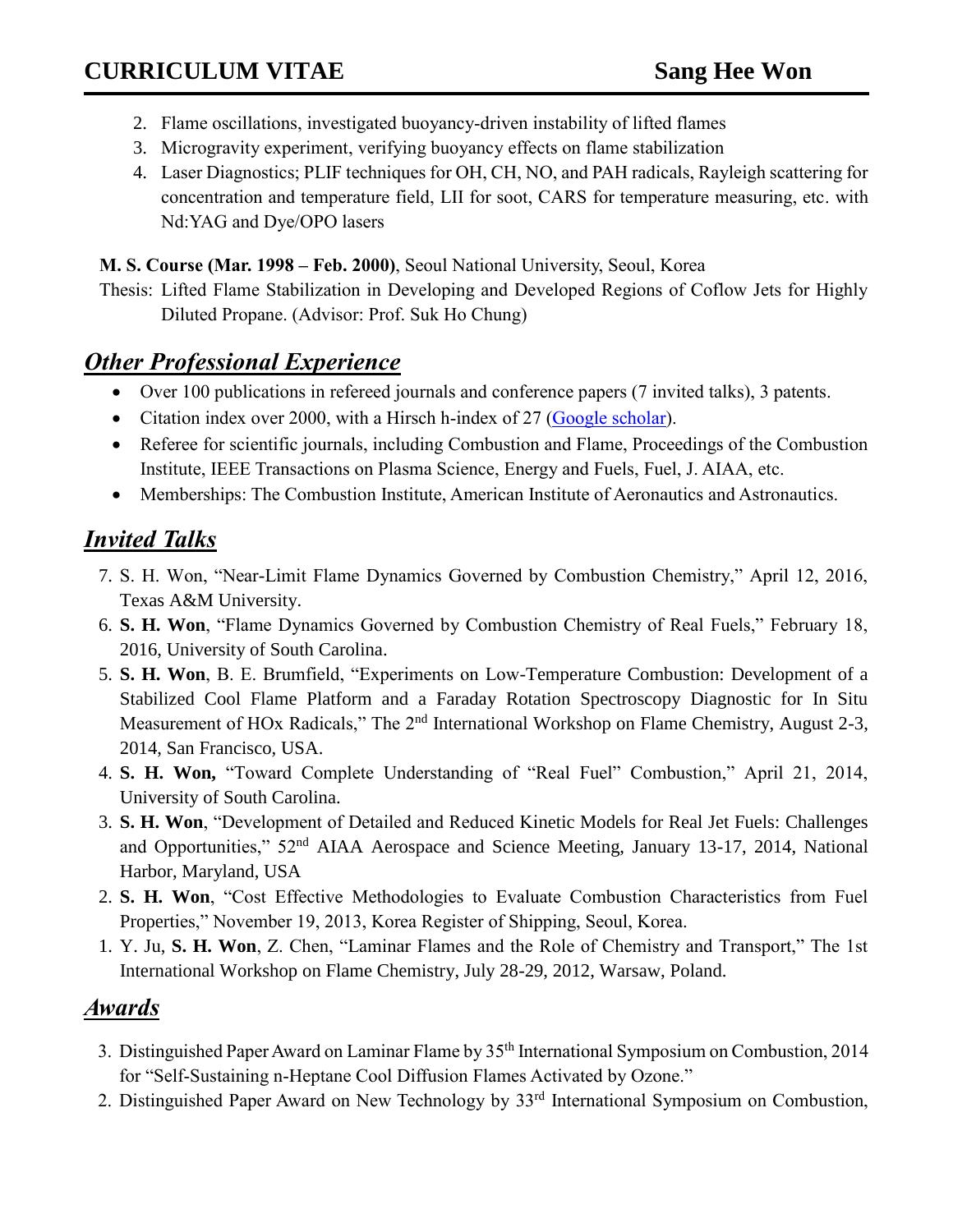- 2. Flame oscillations, investigated buoyancy-driven instability of lifted flames
- 3. Microgravity experiment, verifying buoyancy effects on flame stabilization
- 4. Laser Diagnostics; PLIF techniques for OH, CH, NO, and PAH radicals, Rayleigh scattering for concentration and temperature field, LII for soot, CARS for temperature measuring, etc. with Nd:YAG and Dye/OPO lasers

**M. S. Course (Mar. 1998 – Feb. 2000)**, Seoul National University, Seoul, Korea

Thesis: Lifted Flame Stabilization in Developing and Developed Regions of Coflow Jets for Highly Diluted Propane. (Advisor: Prof. Suk Ho Chung)

## *Other Professional Experience*

- Over 100 publications in refereed journals and conference papers (7 invited talks), 3 patents.
- Citation index over 2000, with a Hirsch h-index of 27 [\(Google scholar\)](http://scholar.google.com/citations?user=8GT66OAAAAAJ&hl=en&oi=ao).
- Referee for scientific journals, including Combustion and Flame, Proceedings of the Combustion Institute, IEEE Transactions on Plasma Science, Energy and Fuels, Fuel, J. AIAA, etc.
- Memberships: The Combustion Institute, American Institute of Aeronautics and Astronautics.

## *Invited Talks*

- 7. S. H. Won, "Near-Limit Flame Dynamics Governed by Combustion Chemistry," April 12, 2016, Texas A&M University.
- 6. **S. H. Won**, "Flame Dynamics Governed by Combustion Chemistry of Real Fuels," February 18, 2016, University of South Carolina.
- 5. **S. H. Won**, B. E. Brumfield, "Experiments on Low-Temperature Combustion: Development of a Stabilized Cool Flame Platform and a Faraday Rotation Spectroscopy Diagnostic for In Situ Measurement of HOx Radicals," The 2<sup>nd</sup> International Workshop on Flame Chemistry, August 2-3, 2014, San Francisco, USA.
- 4. **S. H. Won,** "Toward Complete Understanding of "Real Fuel" Combustion," April 21, 2014, University of South Carolina.
- 3. **S. H. Won**, "Development of Detailed and Reduced Kinetic Models for Real Jet Fuels: Challenges and Opportunities," 52<sup>nd</sup> AIAA Aerospace and Science Meeting, January 13-17, 2014, National Harbor, Maryland, USA
- 2. **S. H. Won**, "Cost Effective Methodologies to Evaluate Combustion Characteristics from Fuel Properties," November 19, 2013, Korea Register of Shipping, Seoul, Korea.
- 1. Y. Ju, **S. H. Won**, Z. Chen, "Laminar Flames and the Role of Chemistry and Transport," The 1st International Workshop on Flame Chemistry, July 28-29, 2012, Warsaw, Poland.

#### *Awards*

- 3. Distinguished Paper Award on Laminar Flame by 35<sup>th</sup> International Symposium on Combustion, 2014 for "Self-Sustaining n-Heptane Cool Diffusion Flames Activated by Ozone."
- 2. Distinguished Paper Award on New Technology by 33<sup>rd</sup> International Symposium on Combustion,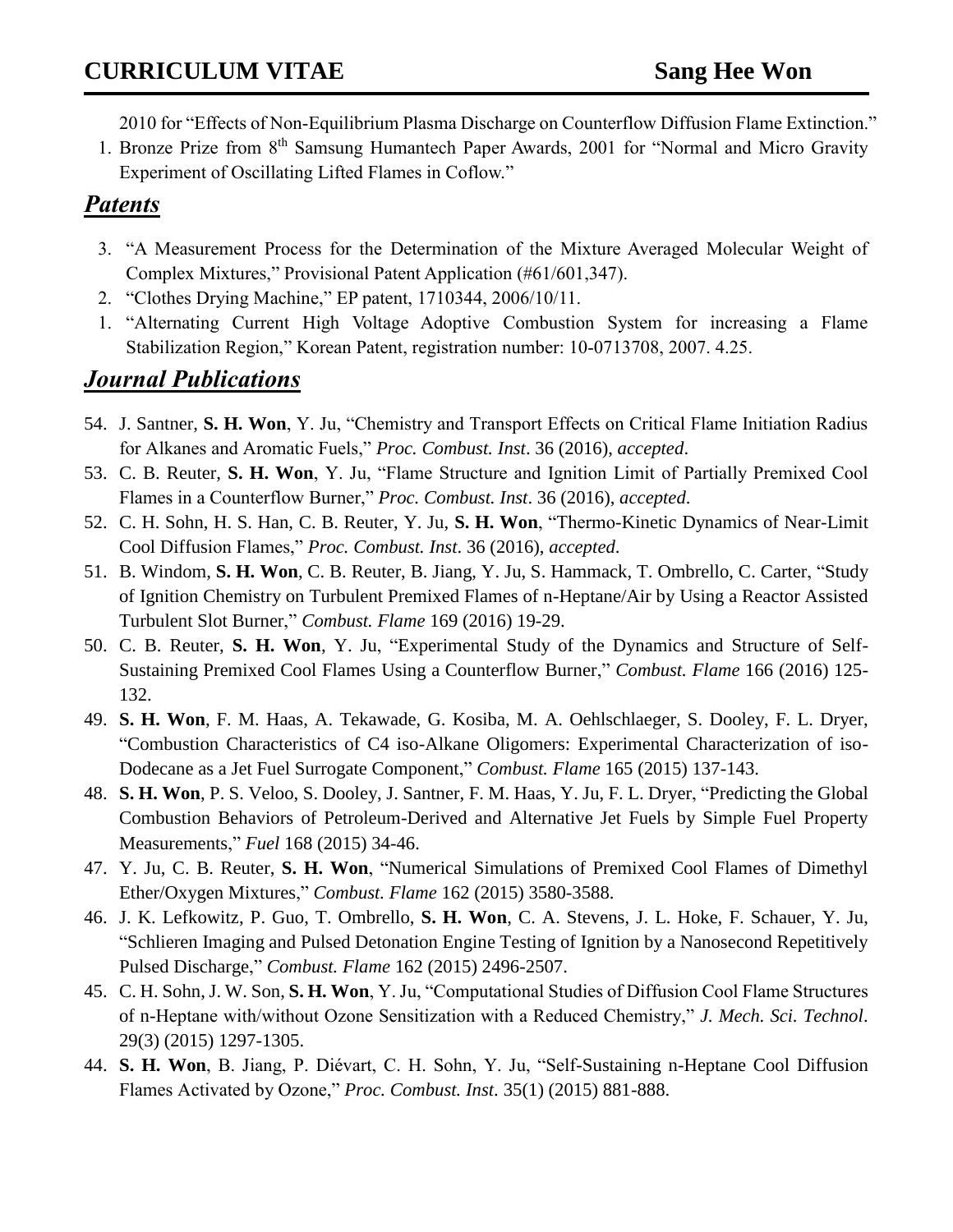2010 for "Effects of Non-Equilibrium Plasma Discharge on Counterflow Diffusion Flame Extinction."

1. Bronze Prize from 8<sup>th</sup> Samsung Humantech Paper Awards, 2001 for "Normal and Micro Gravity Experiment of Oscillating Lifted Flames in Coflow."

#### *Patents*

- 3. "A Measurement Process for the Determination of the Mixture Averaged Molecular Weight of Complex Mixtures," Provisional Patent Application (#61/601,347).
- 2. "Clothes Drying Machine," EP patent, 1710344, 2006/10/11.
- 1. "Alternating Current High Voltage Adoptive Combustion System for increasing a Flame Stabilization Region," Korean Patent, registration number: 10-0713708, 2007. 4.25.

## *Journal Publications*

- 54. J. Santner, **S. H. Won**, Y. Ju, "Chemistry and Transport Effects on Critical Flame Initiation Radius for Alkanes and Aromatic Fuels," *Proc. Combust. Inst*. 36 (2016), *accepted*.
- 53. C. B. Reuter, **S. H. Won**, Y. Ju, "Flame Structure and Ignition Limit of Partially Premixed Cool Flames in a Counterflow Burner," *Proc. Combust. Inst*. 36 (2016), *accepted*.
- 52. C. H. Sohn, H. S. Han, C. B. Reuter, Y. Ju, **S. H. Won**, "Thermo-Kinetic Dynamics of Near-Limit Cool Diffusion Flames," *Proc. Combust. Inst*. 36 (2016), *accepted*.
- 51. B. Windom, **S. H. Won**, C. B. Reuter, B. Jiang, Y. Ju, S. Hammack, T. Ombrello, C. Carter, "Study of Ignition Chemistry on Turbulent Premixed Flames of n-Heptane/Air by Using a Reactor Assisted Turbulent Slot Burner," *Combust. Flame* 169 (2016) 19-29.
- 50. C. B. Reuter, **S. H. Won**, Y. Ju, "Experimental Study of the Dynamics and Structure of Self-Sustaining Premixed Cool Flames Using a Counterflow Burner," *Combust. Flame* 166 (2016) 125- 132.
- 49. **S. H. Won**, F. M. Haas, A. Tekawade, G. Kosiba, M. A. Oehlschlaeger, S. Dooley, F. L. Dryer, "Combustion Characteristics of C4 iso-Alkane Oligomers: Experimental Characterization of iso-Dodecane as a Jet Fuel Surrogate Component," *Combust. Flame* 165 (2015) 137-143.
- 48. **S. H. Won**, P. S. Veloo, S. Dooley, J. Santner, F. M. Haas, Y. Ju, F. L. Dryer, "Predicting the Global Combustion Behaviors of Petroleum-Derived and Alternative Jet Fuels by Simple Fuel Property Measurements," *Fuel* 168 (2015) 34-46.
- 47. Y. Ju, C. B. Reuter, **S. H. Won**, "Numerical Simulations of Premixed Cool Flames of Dimethyl Ether/Oxygen Mixtures," *Combust. Flame* 162 (2015) 3580-3588.
- 46. J. K. Lefkowitz, P. Guo, T. Ombrello, **S. H. Won**, C. A. Stevens, J. L. Hoke, F. Schauer, Y. Ju, "Schlieren Imaging and Pulsed Detonation Engine Testing of Ignition by a Nanosecond Repetitively Pulsed Discharge," *Combust. Flame* 162 (2015) 2496-2507.
- 45. C. H. Sohn, J. W. Son, **S. H. Won**, Y. Ju, "Computational Studies of Diffusion Cool Flame Structures of n-Heptane with/without Ozone Sensitization with a Reduced Chemistry," *J. Mech. Sci. Technol*. 29(3) (2015) 1297-1305.
- 44. **S. H. Won**, B. Jiang, P. Diévart, C. H. Sohn, Y. Ju, "Self-Sustaining n-Heptane Cool Diffusion Flames Activated by Ozone," *Proc. Combust. Inst*. 35(1) (2015) 881-888.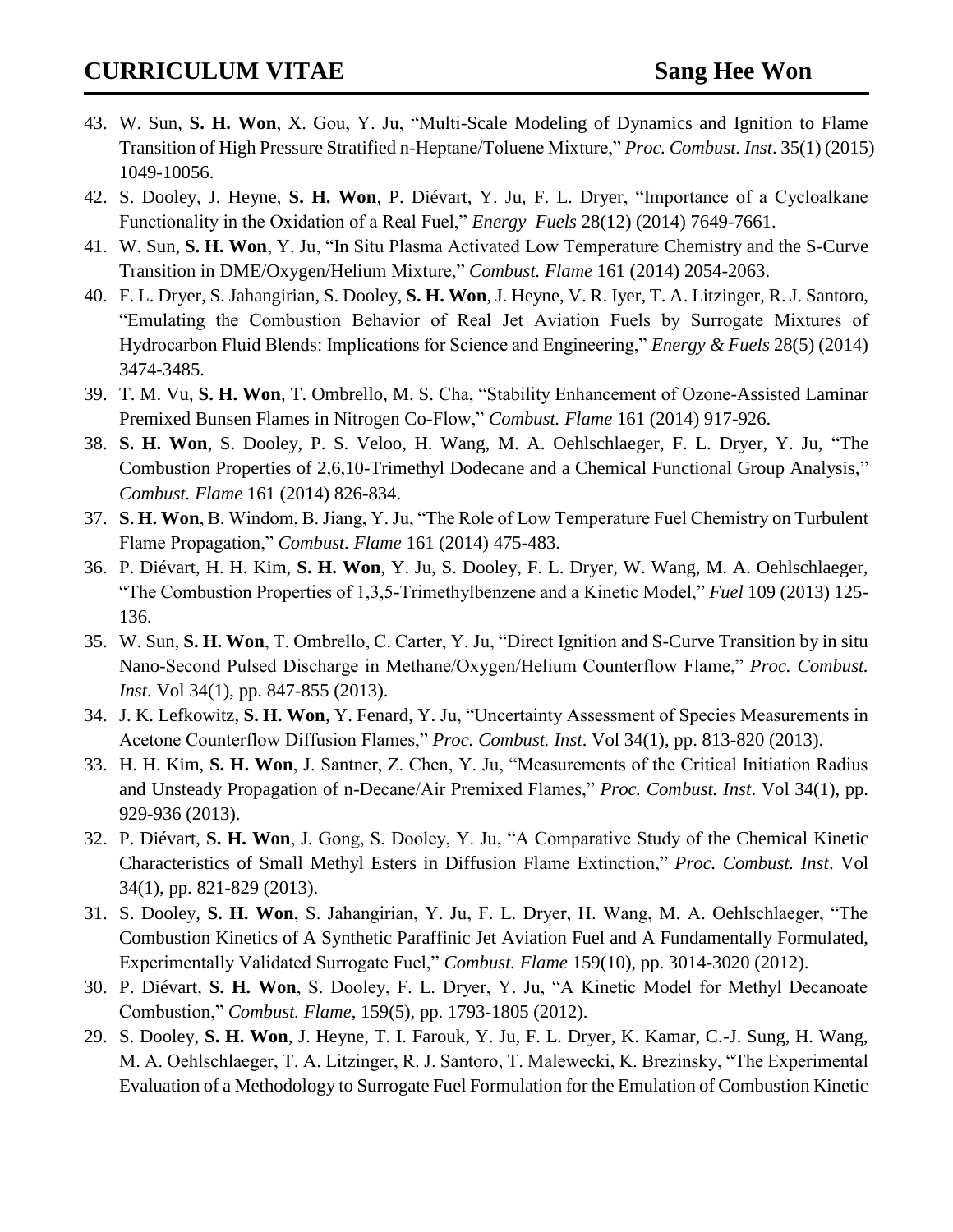- 43. W. Sun, **S. H. Won**, X. Gou, Y. Ju, "Multi-Scale Modeling of Dynamics and Ignition to Flame Transition of High Pressure Stratified n-Heptane/Toluene Mixture," *Proc. Combust. Inst*. 35(1) (2015) 1049-10056.
- 42. S. Dooley, J. Heyne, **S. H. Won**, P. Diévart, Y. Ju, F. L. Dryer, "Importance of a Cycloalkane Functionality in the Oxidation of a Real Fuel," *Energy Fuels* 28(12) (2014) 7649-7661.
- 41. W. Sun, **S. H. Won**, Y. Ju, "In Situ Plasma Activated Low Temperature Chemistry and the S-Curve Transition in DME/Oxygen/Helium Mixture," *Combust. Flame* 161 (2014) 2054-2063.
- 40. F. L. Dryer, S. Jahangirian, S. Dooley, **S. H. Won**, J. Heyne, V. R. Iyer, T. A. Litzinger, R. J. Santoro, "Emulating the Combustion Behavior of Real Jet Aviation Fuels by Surrogate Mixtures of Hydrocarbon Fluid Blends: Implications for Science and Engineering," *Energy & Fuels* 28(5) (2014) 3474-3485.
- 39. T. M. Vu, **S. H. Won**, T. Ombrello, M. S. Cha, "Stability Enhancement of Ozone-Assisted Laminar Premixed Bunsen Flames in Nitrogen Co-Flow," *Combust. Flame* 161 (2014) 917-926.
- 38. **S. H. Won**, S. Dooley, P. S. Veloo, H. Wang, M. A. Oehlschlaeger, F. L. Dryer, Y. Ju, "The Combustion Properties of 2,6,10-Trimethyl Dodecane and a Chemical Functional Group Analysis," *Combust. Flame* 161 (2014) 826-834.
- 37. **S. H. Won**, B. Windom, B. Jiang, Y. Ju, "The Role of Low Temperature Fuel Chemistry on Turbulent Flame Propagation," *Combust. Flame* 161 (2014) 475-483.
- 36. P. Diévart, H. H. Kim, **S. H. Won**, Y. Ju, S. Dooley, F. L. Dryer, W. Wang, M. A. Oehlschlaeger, "The Combustion Properties of 1,3,5-Trimethylbenzene and a Kinetic Model," *Fuel* 109 (2013) 125- 136.
- 35. W. Sun, **S. H. Won**, T. Ombrello, C. Carter, Y. Ju, "Direct Ignition and S-Curve Transition by in situ Nano-Second Pulsed Discharge in Methane/Oxygen/Helium Counterflow Flame," *Proc. Combust. Inst*. Vol 34(1), pp. 847-855 (2013).
- 34. J. K. Lefkowitz, **S. H. Won**, Y. Fenard, Y. Ju, "Uncertainty Assessment of Species Measurements in Acetone Counterflow Diffusion Flames," *Proc. Combust. Inst*. Vol 34(1), pp. 813-820 (2013).
- 33. H. H. Kim, **S. H. Won**, J. Santner, Z. Chen, Y. Ju, "Measurements of the Critical Initiation Radius and Unsteady Propagation of n-Decane/Air Premixed Flames," *Proc. Combust. Inst*. Vol 34(1), pp. 929-936 (2013).
- 32. P. Diévart, **S. H. Won**, J. Gong, S. Dooley, Y. Ju, "A Comparative Study of the Chemical Kinetic Characteristics of Small Methyl Esters in Diffusion Flame Extinction," *Proc. Combust. Inst*. Vol 34(1), pp. 821-829 (2013).
- 31. S. Dooley, **S. H. Won**, S. Jahangirian, Y. Ju, F. L. Dryer, H. Wang, M. A. Oehlschlaeger, "The Combustion Kinetics of A Synthetic Paraffinic Jet Aviation Fuel and A Fundamentally Formulated, Experimentally Validated Surrogate Fuel," *Combust. Flame* 159(10), pp. 3014-3020 (2012).
- 30. P. Diévart, **S. H. Won**, S. Dooley, F. L. Dryer, Y. Ju, "A Kinetic Model for Methyl Decanoate Combustion," *Combust. Flame*, 159(5), pp. 1793-1805 (2012).
- 29. S. Dooley, **S. H. Won**, J. Heyne, T. I. Farouk, Y. Ju, F. L. Dryer, K. Kamar, C.-J. Sung, H. Wang, M. A. Oehlschlaeger, T. A. Litzinger, R. J. Santoro, T. Malewecki, K. Brezinsky, "The Experimental Evaluation of a Methodology to Surrogate Fuel Formulation for the Emulation of Combustion Kinetic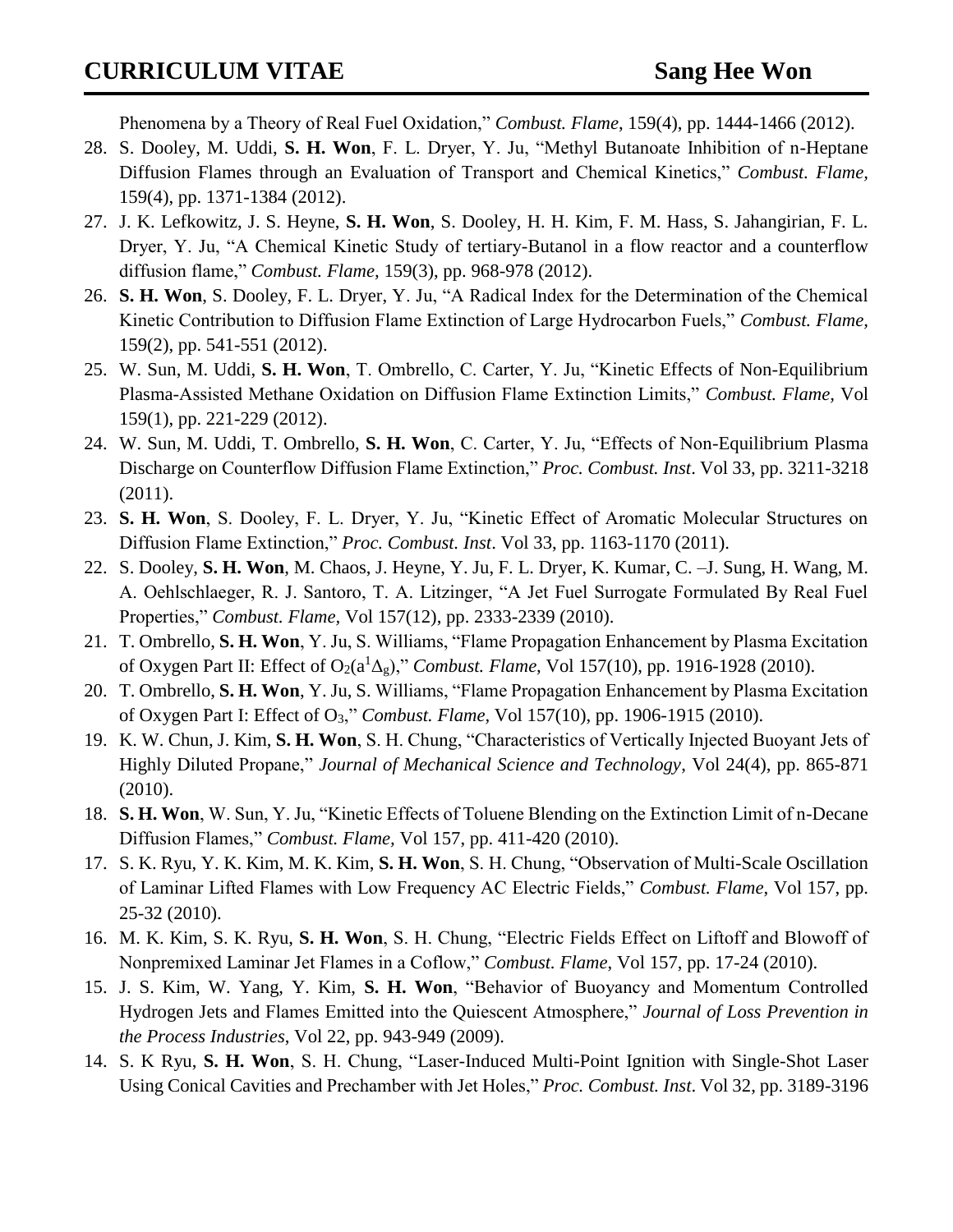Phenomena by a Theory of Real Fuel Oxidation," *Combust. Flame*, 159(4), pp. 1444-1466 (2012).

- 28. S. Dooley, M. Uddi, **S. H. Won**, F. L. Dryer, Y. Ju, "Methyl Butanoate Inhibition of n-Heptane Diffusion Flames through an Evaluation of Transport and Chemical Kinetics," *Combust. Flame,* 159(4), pp. 1371-1384 (2012).
- 27. J. K. Lefkowitz, J. S. Heyne, **S. H. Won**, S. Dooley, H. H. Kim, F. M. Hass, S. Jahangirian, F. L. Dryer, Y. Ju, "A Chemical Kinetic Study of tertiary-Butanol in a flow reactor and a counterflow diffusion flame," *Combust. Flame,* 159(3), pp. 968-978 (2012).
- 26. **S. H. Won**, S. Dooley, F. L. Dryer, Y. Ju, "A Radical Index for the Determination of the Chemical Kinetic Contribution to Diffusion Flame Extinction of Large Hydrocarbon Fuels," *Combust. Flame,*  159(2), pp. 541-551 (2012).
- 25. W. Sun, M. Uddi, **S. H. Won**, T. Ombrello, C. Carter, Y. Ju, "Kinetic Effects of Non-Equilibrium Plasma-Assisted Methane Oxidation on Diffusion Flame Extinction Limits," *Combust. Flame,* Vol 159(1), pp. 221-229 (2012).
- 24. W. Sun, M. Uddi, T. Ombrello, **S. H. Won**, C. Carter, Y. Ju, "Effects of Non-Equilibrium Plasma Discharge on Counterflow Diffusion Flame Extinction," *Proc. Combust. Inst*. Vol 33, pp. 3211-3218 (2011).
- 23. **S. H. Won**, S. Dooley, F. L. Dryer, Y. Ju, "Kinetic Effect of Aromatic Molecular Structures on Diffusion Flame Extinction," *Proc. Combust. Inst*. Vol 33, pp. 1163-1170 (2011).
- 22. S. Dooley, **S. H. Won**, M. Chaos, J. Heyne, Y. Ju, F. L. Dryer, K. Kumar, C. –J. Sung, H. Wang, M. A. Oehlschlaeger, R. J. Santoro, T. A. Litzinger, "A Jet Fuel Surrogate Formulated By Real Fuel Properties," *Combust. Flame,* Vol 157(12), pp. 2333-2339 (2010).
- 21. T. Ombrello, **S. H. Won**, Y. Ju, S. Williams, "Flame Propagation Enhancement by Plasma Excitation of Oxygen Part II: Effect of O2(a<sup>1</sup>Δg)," *Combust. Flame,* Vol 157(10), pp. 1916-1928 (2010).
- 20. T. Ombrello, **S. H. Won**, Y. Ju, S. Williams, "Flame Propagation Enhancement by Plasma Excitation of Oxygen Part I: Effect of O3," *Combust. Flame,* Vol 157(10), pp. 1906-1915 (2010).
- 19. K. W. Chun, J. Kim, **S. H. Won**, S. H. Chung, "Characteristics of Vertically Injected Buoyant Jets of Highly Diluted Propane," *Journal of Mechanical Science and Technology*, Vol 24(4), pp. 865-871 (2010).
- 18. **S. H. Won**, W. Sun, Y. Ju, "Kinetic Effects of Toluene Blending on the Extinction Limit of n-Decane Diffusion Flames," *Combust. Flame,* Vol 157, pp. 411-420 (2010).
- 17. S. K. Ryu, Y. K. Kim, M. K. Kim, **S. H. Won**, S. H. Chung, "Observation of Multi-Scale Oscillation of Laminar Lifted Flames with Low Frequency AC Electric Fields," *Combust. Flame*, Vol 157, pp. 25-32 (2010).
- 16. M. K. Kim, S. K. Ryu, **S. H. Won**, S. H. Chung, "Electric Fields Effect on Liftoff and Blowoff of Nonpremixed Laminar Jet Flames in a Coflow," *Combust. Flame*, Vol 157, pp. 17-24 (2010).
- 15. J. S. Kim, W. Yang, Y. Kim, **S. H. Won**, "Behavior of Buoyancy and Momentum Controlled Hydrogen Jets and Flames Emitted into the Quiescent Atmosphere," *Journal of Loss Prevention in the Process Industries*, Vol 22, pp. 943-949 (2009).
- 14. S. K Ryu, **S. H. Won**, S. H. Chung, "Laser-Induced Multi-Point Ignition with Single-Shot Laser Using Conical Cavities and Prechamber with Jet Holes," *Proc. Combust. Inst*. Vol 32, pp. 3189-3196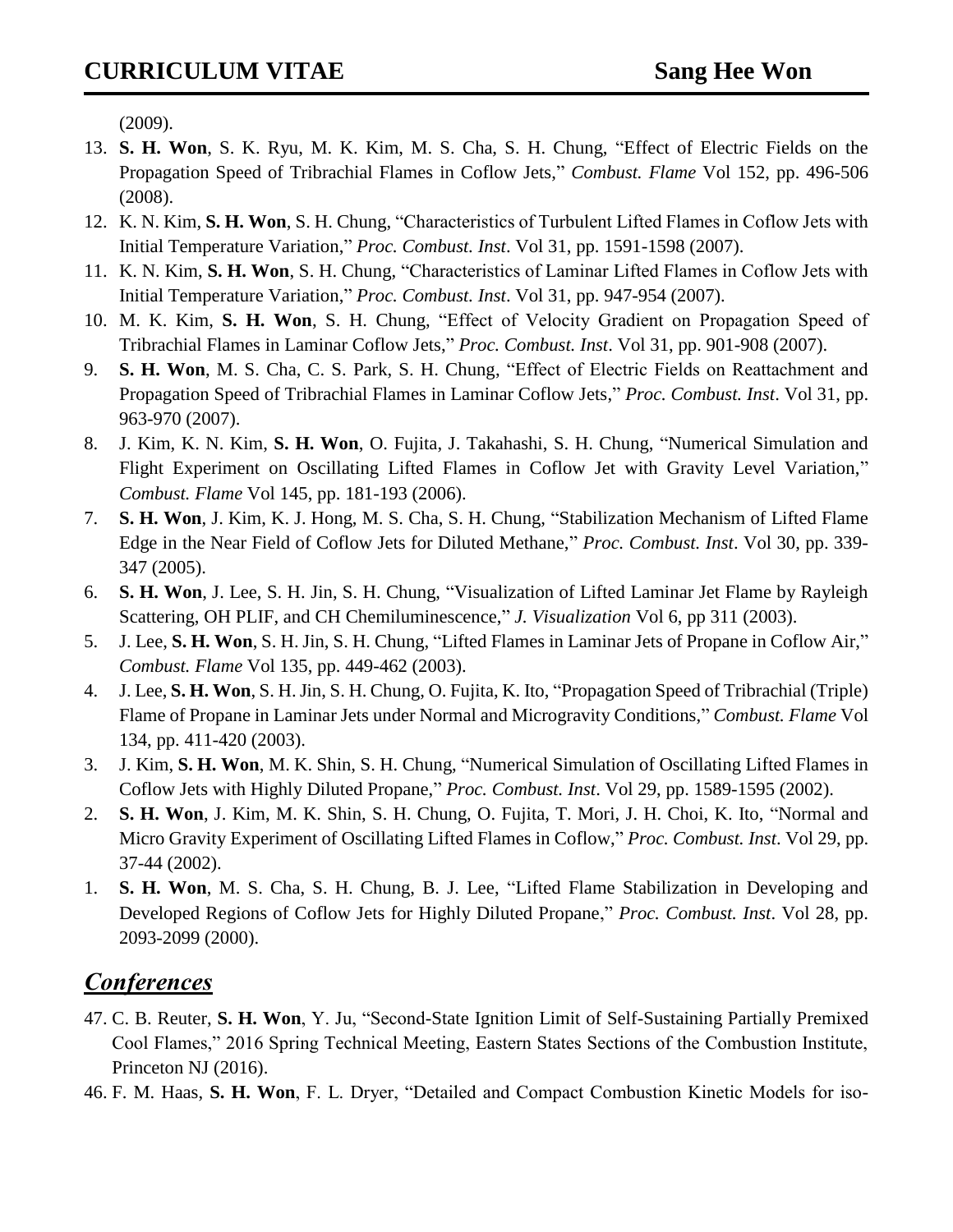(2009).

- 13. **S. H. Won**, S. K. Ryu, M. K. Kim, M. S. Cha, S. H. Chung, "Effect of Electric Fields on the Propagation Speed of Tribrachial Flames in Coflow Jets," *Combust. Flame* Vol 152, pp. 496-506 (2008).
- 12. K. N. Kim, **S. H. Won**, S. H. Chung, "Characteristics of Turbulent Lifted Flames in Coflow Jets with Initial Temperature Variation," *Proc. Combust. Inst*. Vol 31, pp. 1591-1598 (2007).
- 11. K. N. Kim, **S. H. Won**, S. H. Chung, "Characteristics of Laminar Lifted Flames in Coflow Jets with Initial Temperature Variation," *Proc. Combust. Inst*. Vol 31, pp. 947-954 (2007).
- 10. M. K. Kim, **S. H. Won**, S. H. Chung, "Effect of Velocity Gradient on Propagation Speed of Tribrachial Flames in Laminar Coflow Jets," *Proc. Combust. Inst*. Vol 31, pp. 901-908 (2007).
- 9. **S. H. Won**, M. S. Cha, C. S. Park, S. H. Chung, "Effect of Electric Fields on Reattachment and Propagation Speed of Tribrachial Flames in Laminar Coflow Jets," *Proc. Combust. Inst*. Vol 31, pp. 963-970 (2007).
- 8. J. Kim, K. N. Kim, **S. H. Won**, O. Fujita, J. Takahashi, S. H. Chung, "Numerical Simulation and Flight Experiment on Oscillating Lifted Flames in Coflow Jet with Gravity Level Variation," *Combust. Flame* Vol 145, pp. 181-193 (2006).
- 7. **S. H. Won**, J. Kim, K. J. Hong, M. S. Cha, S. H. Chung, "Stabilization Mechanism of Lifted Flame Edge in the Near Field of Coflow Jets for Diluted Methane," *Proc. Combust. Inst*. Vol 30, pp. 339- 347 (2005).
- 6. **S. H. Won**, J. Lee, S. H. Jin, S. H. Chung, "Visualization of Lifted Laminar Jet Flame by Rayleigh Scattering, OH PLIF, and CH Chemiluminescence," *J. Visualization* Vol 6, pp 311 (2003).
- 5. J. Lee, **S. H. Won**, S. H. Jin, S. H. Chung, "Lifted Flames in Laminar Jets of Propane in Coflow Air," *Combust. Flame* Vol 135, pp. 449-462 (2003).
- 4. J. Lee, **S. H. Won**, S. H. Jin, S. H. Chung, O. Fujita, K. Ito, "Propagation Speed of Tribrachial (Triple) Flame of Propane in Laminar Jets under Normal and Microgravity Conditions," *Combust. Flame* Vol 134, pp. 411-420 (2003).
- 3. J. Kim, **S. H. Won**, M. K. Shin, S. H. Chung, "Numerical Simulation of Oscillating Lifted Flames in Coflow Jets with Highly Diluted Propane," *Proc. Combust. Inst*. Vol 29, pp. 1589-1595 (2002).
- 2. **S. H. Won**, J. Kim, M. K. Shin, S. H. Chung, O. Fujita, T. Mori, J. H. Choi, K. Ito, "Normal and Micro Gravity Experiment of Oscillating Lifted Flames in Coflow," *Proc. Combust. Inst*. Vol 29, pp. 37-44 (2002).
- 1. **S. H. Won**, M. S. Cha, S. H. Chung, B. J. Lee, "Lifted Flame Stabilization in Developing and Developed Regions of Coflow Jets for Highly Diluted Propane," *Proc. Combust. Inst*. Vol 28, pp. 2093-2099 (2000).

## *Conferences*

- 47. C. B. Reuter, **S. H. Won**, Y. Ju, "Second-State Ignition Limit of Self-Sustaining Partially Premixed Cool Flames," 2016 Spring Technical Meeting, Eastern States Sections of the Combustion Institute, Princeton NJ (2016).
- 46. F. M. Haas, **S. H. Won**, F. L. Dryer, "Detailed and Compact Combustion Kinetic Models for iso-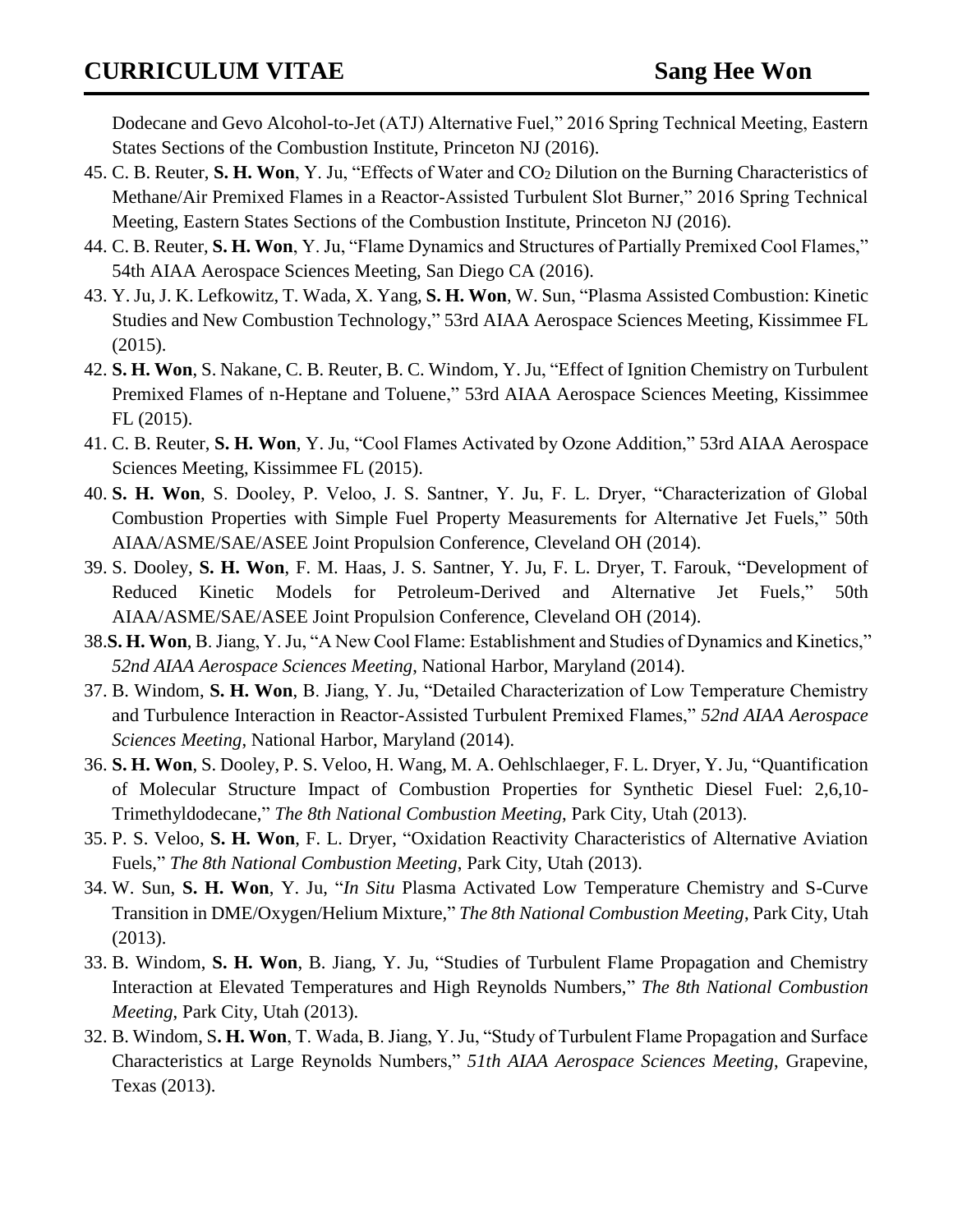Dodecane and Gevo Alcohol-to-Jet (ATJ) Alternative Fuel," 2016 Spring Technical Meeting, Eastern States Sections of the Combustion Institute, Princeton NJ (2016).

- 45. C. B. Reuter, **S. H. Won**, Y. Ju, "Effects of Water and CO<sup>2</sup> Dilution on the Burning Characteristics of Methane/Air Premixed Flames in a Reactor-Assisted Turbulent Slot Burner," 2016 Spring Technical Meeting, Eastern States Sections of the Combustion Institute, Princeton NJ (2016).
- 44. C. B. Reuter, **S. H. Won**, Y. Ju, "Flame Dynamics and Structures of Partially Premixed Cool Flames," 54th AIAA Aerospace Sciences Meeting, San Diego CA (2016).
- 43. Y. Ju, J. K. Lefkowitz, T. Wada, X. Yang, **S. H. Won**, W. Sun, "Plasma Assisted Combustion: Kinetic Studies and New Combustion Technology," 53rd AIAA Aerospace Sciences Meeting, Kissimmee FL (2015).
- 42. **S. H. Won**, S. Nakane, C. B. Reuter, B. C. Windom, Y. Ju, "Effect of Ignition Chemistry on Turbulent Premixed Flames of n-Heptane and Toluene," 53rd AIAA Aerospace Sciences Meeting, Kissimmee FL (2015).
- 41. C. B. Reuter, **S. H. Won**, Y. Ju, "Cool Flames Activated by Ozone Addition," 53rd AIAA Aerospace Sciences Meeting, Kissimmee FL (2015).
- 40. **S. H. Won**, S. Dooley, P. Veloo, J. S. Santner, Y. Ju, F. L. Dryer, "Characterization of Global Combustion Properties with Simple Fuel Property Measurements for Alternative Jet Fuels," 50th AIAA/ASME/SAE/ASEE Joint Propulsion Conference, Cleveland OH (2014).
- 39. S. Dooley, **S. H. Won**, F. M. Haas, J. S. Santner, Y. Ju, F. L. Dryer, T. Farouk, "Development of Reduced Kinetic Models for Petroleum-Derived and Alternative Jet Fuels," 50th AIAA/ASME/SAE/ASEE Joint Propulsion Conference, Cleveland OH (2014).
- 38.**S. H. Won**, B. Jiang, Y. Ju, "A New Cool Flame: Establishment and Studies of Dynamics and Kinetics," *52nd AIAA Aerospace Sciences Meeting*, National Harbor, Maryland (2014).
- 37. B. Windom, **S. H. Won**, B. Jiang, Y. Ju, "Detailed Characterization of Low Temperature Chemistry and Turbulence Interaction in Reactor-Assisted Turbulent Premixed Flames," *52nd AIAA Aerospace Sciences Meeting*, National Harbor, Maryland (2014).
- 36. **S. H. Won**, S. Dooley, P. S. Veloo, H. Wang, M. A. Oehlschlaeger, F. L. Dryer, Y. Ju, "Quantification of Molecular Structure Impact of Combustion Properties for Synthetic Diesel Fuel: 2,6,10- Trimethyldodecane," *The 8th National Combustion Meeting*, Park City, Utah (2013).
- 35. P. S. Veloo, **S. H. Won**, F. L. Dryer, "Oxidation Reactivity Characteristics of Alternative Aviation Fuels," *The 8th National Combustion Meeting*, Park City, Utah (2013).
- 34. W. Sun, **S. H. Won**, Y. Ju, "*In Situ* Plasma Activated Low Temperature Chemistry and S-Curve Transition in DME/Oxygen/Helium Mixture," *The 8th National Combustion Meeting*, Park City, Utah (2013).
- 33. B. Windom, **S. H. Won**, B. Jiang, Y. Ju, "Studies of Turbulent Flame Propagation and Chemistry Interaction at Elevated Temperatures and High Reynolds Numbers," *The 8th National Combustion Meeting*, Park City, Utah (2013).
- 32. B. Windom, S**. H. Won**, T. Wada, B. Jiang, Y. Ju, "Study of Turbulent Flame Propagation and Surface Characteristics at Large Reynolds Numbers," *51th AIAA Aerospace Sciences Meeting*, Grapevine, Texas (2013).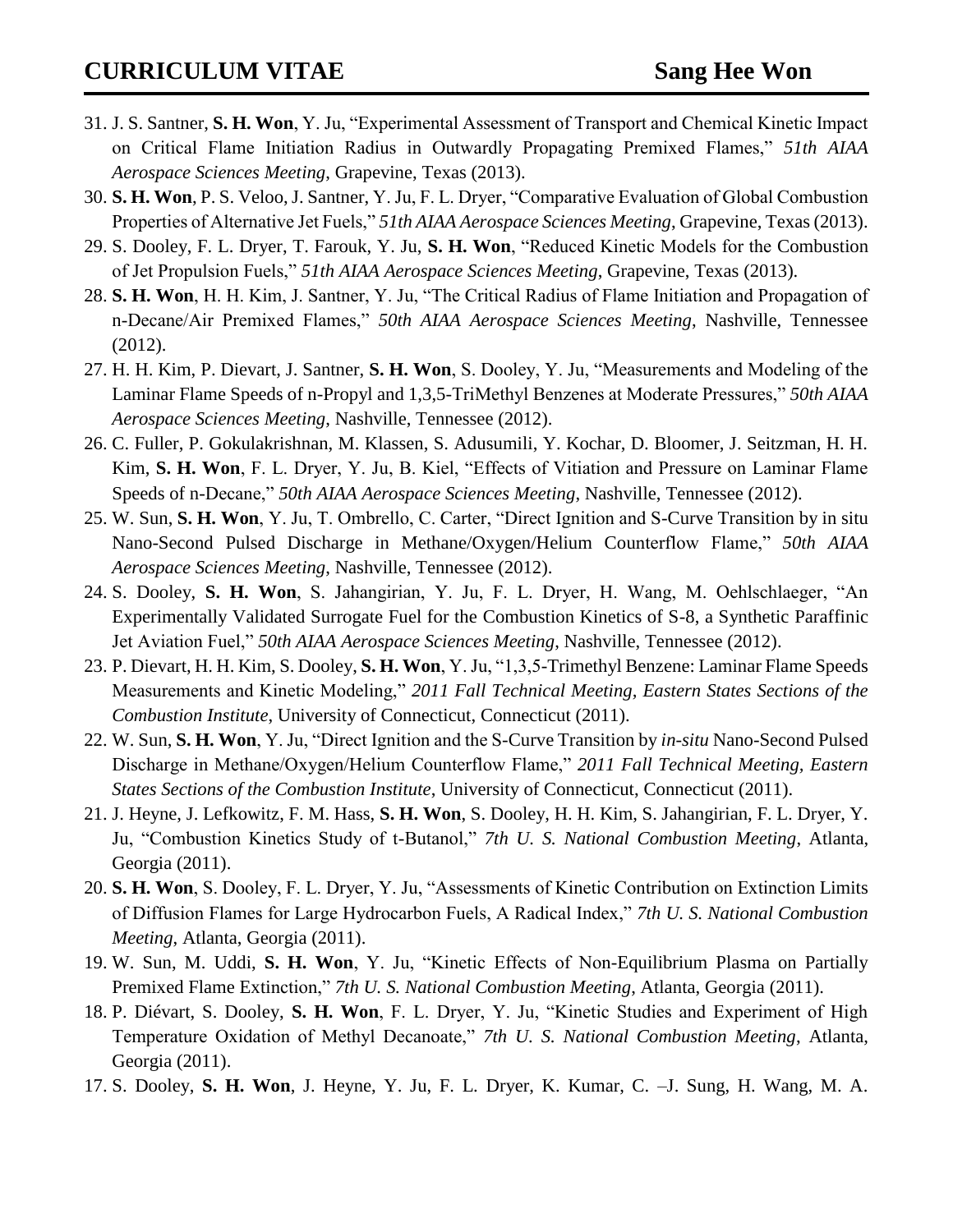- 31. J. S. Santner, **S. H. Won**, Y. Ju, "Experimental Assessment of Transport and Chemical Kinetic Impact on Critical Flame Initiation Radius in Outwardly Propagating Premixed Flames," *51th AIAA Aerospace Sciences Meeting*, Grapevine, Texas (2013).
- 30. **S. H. Won**, P. S. Veloo, J. Santner, Y. Ju, F. L. Dryer, "Comparative Evaluation of Global Combustion Properties of Alternative Jet Fuels," *51th AIAA Aerospace Sciences Meeting*, Grapevine, Texas (2013).
- 29. S. Dooley, F. L. Dryer, T. Farouk, Y. Ju, **S. H. Won**, "Reduced Kinetic Models for the Combustion of Jet Propulsion Fuels," *51th AIAA Aerospace Sciences Meeting*, Grapevine, Texas (2013).
- 28. **S. H. Won**, H. H. Kim, J. Santner, Y. Ju, "The Critical Radius of Flame Initiation and Propagation of n-Decane/Air Premixed Flames," *50th AIAA Aerospace Sciences Meeting*, Nashville, Tennessee (2012).
- 27. H. H. Kim, P. Dievart, J. Santner, **S. H. Won**, S. Dooley, Y. Ju, "Measurements and Modeling of the Laminar Flame Speeds of n-Propyl and 1,3,5-TriMethyl Benzenes at Moderate Pressures," *50th AIAA Aerospace Sciences Meeting*, Nashville, Tennessee (2012).
- 26. C. Fuller, P. Gokulakrishnan, M. Klassen, S. Adusumili, Y. Kochar, D. Bloomer, J. Seitzman, H. H. Kim, **S. H. Won**, F. L. Dryer, Y. Ju, B. Kiel, "Effects of Vitiation and Pressure on Laminar Flame Speeds of n-Decane," *50th AIAA Aerospace Sciences Meeting*, Nashville, Tennessee (2012).
- 25. W. Sun, **S. H. Won**, Y. Ju, T. Ombrello, C. Carter, "Direct Ignition and S-Curve Transition by in situ Nano-Second Pulsed Discharge in Methane/Oxygen/Helium Counterflow Flame," *50th AIAA Aerospace Sciences Meeting*, Nashville, Tennessee (2012).
- 24. S. Dooley, **S. H. Won**, S. Jahangirian, Y. Ju, F. L. Dryer, H. Wang, M. Oehlschlaeger, "An Experimentally Validated Surrogate Fuel for the Combustion Kinetics of S-8, a Synthetic Paraffinic Jet Aviation Fuel," *50th AIAA Aerospace Sciences Meeting*, Nashville, Tennessee (2012).
- 23. P. Dievart, H. H. Kim, S. Dooley, **S. H. Won**, Y. Ju, "1,3,5-Trimethyl Benzene: Laminar Flame Speeds Measurements and Kinetic Modeling," *2011 Fall Technical Meeting, Eastern States Sections of the Combustion Institute*, University of Connecticut, Connecticut (2011).
- 22. W. Sun, **S. H. Won**, Y. Ju, "Direct Ignition and the S-Curve Transition by *in-situ* Nano-Second Pulsed Discharge in Methane/Oxygen/Helium Counterflow Flame," *2011 Fall Technical Meeting, Eastern States Sections of the Combustion Institute*, University of Connecticut, Connecticut (2011).
- 21. J. Heyne, J. Lefkowitz, F. M. Hass, **S. H. Won**, S. Dooley, H. H. Kim, S. Jahangirian, F. L. Dryer, Y. Ju, "Combustion Kinetics Study of t-Butanol," *7th U. S. National Combustion Meeting*, Atlanta, Georgia (2011).
- 20. **S. H. Won**, S. Dooley, F. L. Dryer, Y. Ju, "Assessments of Kinetic Contribution on Extinction Limits of Diffusion Flames for Large Hydrocarbon Fuels, A Radical Index," *7th U. S. National Combustion Meeting*, Atlanta, Georgia (2011).
- 19. W. Sun, M. Uddi, **S. H. Won**, Y. Ju, "Kinetic Effects of Non-Equilibrium Plasma on Partially Premixed Flame Extinction," *7th U. S. National Combustion Meeting*, Atlanta, Georgia (2011).
- 18. P. Diévart, S. Dooley, **S. H. Won**, F. L. Dryer, Y. Ju, "Kinetic Studies and Experiment of High Temperature Oxidation of Methyl Decanoate," *7th U. S. National Combustion Meeting*, Atlanta, Georgia (2011).
- 17. S. Dooley, **S. H. Won**, J. Heyne, Y. Ju, F. L. Dryer, K. Kumar, C. –J. Sung, H. Wang, M. A.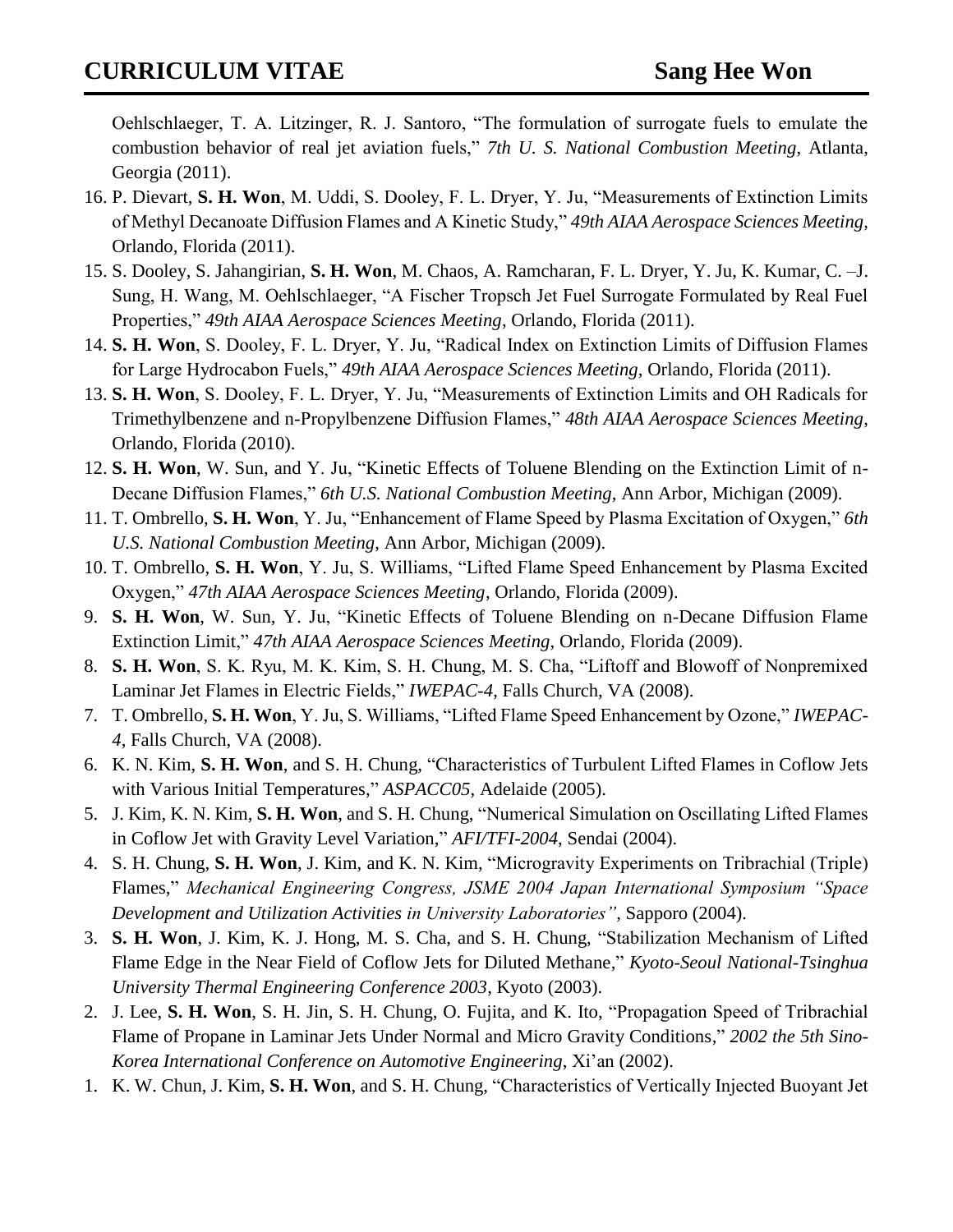Oehlschlaeger, T. A. Litzinger, R. J. Santoro, "The formulation of surrogate fuels to emulate the combustion behavior of real jet aviation fuels," *7th U. S. National Combustion Meeting*, Atlanta, Georgia (2011).

- 16. P. Dievart, **S. H. Won**, M. Uddi, S. Dooley, F. L. Dryer, Y. Ju, "Measurements of Extinction Limits of Methyl Decanoate Diffusion Flames and A Kinetic Study," *49th AIAA Aerospace Sciences Meeting*, Orlando, Florida (2011).
- 15. S. Dooley, S. Jahangirian, **S. H. Won**, M. Chaos, A. Ramcharan, F. L. Dryer, Y. Ju, K. Kumar, C. –J. Sung, H. Wang, M. Oehlschlaeger, "A Fischer Tropsch Jet Fuel Surrogate Formulated by Real Fuel Properties," *49th AIAA Aerospace Sciences Meeting*, Orlando, Florida (2011).
- 14. **S. H. Won**, S. Dooley, F. L. Dryer, Y. Ju, "Radical Index on Extinction Limits of Diffusion Flames for Large Hydrocabon Fuels," *49th AIAA Aerospace Sciences Meeting*, Orlando, Florida (2011).
- 13. **S. H. Won**, S. Dooley, F. L. Dryer, Y. Ju, "Measurements of Extinction Limits and OH Radicals for Trimethylbenzene and n-Propylbenzene Diffusion Flames," *48th AIAA Aerospace Sciences Meeting*, Orlando, Florida (2010).
- 12. **S. H. Won**, W. Sun, and Y. Ju, "Kinetic Effects of Toluene Blending on the Extinction Limit of n-Decane Diffusion Flames," *6th U.S. National Combustion Meeting*, Ann Arbor, Michigan (2009).
- 11. T. Ombrello, **S. H. Won**, Y. Ju, "Enhancement of Flame Speed by Plasma Excitation of Oxygen," *6th U.S. National Combustion Meeting*, Ann Arbor, Michigan (2009).
- 10. T. Ombrello, **S. H. Won**, Y. Ju, S. Williams, "Lifted Flame Speed Enhancement by Plasma Excited Oxygen," *47th AIAA Aerospace Sciences Meeting*, Orlando, Florida (2009).
- 9. **S. H. Won**, W. Sun, Y. Ju, "Kinetic Effects of Toluene Blending on n-Decane Diffusion Flame Extinction Limit," *47th AIAA Aerospace Sciences Meeting*, Orlando, Florida (2009).
- 8. **S. H. Won**, S. K. Ryu, M. K. Kim, S. H. Chung, M. S. Cha, "Liftoff and Blowoff of Nonpremixed Laminar Jet Flames in Electric Fields," *IWEPAC-4*, Falls Church, VA (2008).
- 7. T. Ombrello, **S. H. Won**, Y. Ju, S. Williams, "Lifted Flame Speed Enhancement by Ozone," *IWEPAC-4*, Falls Church, VA (2008).
- 6. K. N. Kim, **S. H. Won**, and S. H. Chung, "Characteristics of Turbulent Lifted Flames in Coflow Jets with Various Initial Temperatures," *ASPACC05*, Adelaide (2005).
- 5. J. Kim, K. N. Kim, **S. H. Won**, and S. H. Chung, "Numerical Simulation on Oscillating Lifted Flames in Coflow Jet with Gravity Level Variation," *AFI/TFI-2004*, Sendai (2004).
- 4. S. H. Chung, **S. H. Won**, J. Kim, and K. N. Kim, "Microgravity Experiments on Tribrachial (Triple) Flames," *Mechanical Engineering Congress, JSME 2004 Japan International Symposium "Space Development and Utilization Activities in University Laboratories"*, Sapporo (2004).
- 3. **S. H. Won**, J. Kim, K. J. Hong, M. S. Cha, and S. H. Chung, "Stabilization Mechanism of Lifted Flame Edge in the Near Field of Coflow Jets for Diluted Methane," *Kyoto-Seoul National-Tsinghua University Thermal Engineering Conference 2003*, Kyoto (2003).
- 2. J. Lee, **S. H. Won**, S. H. Jin, S. H. Chung, O. Fujita, and K. Ito, "Propagation Speed of Tribrachial Flame of Propane in Laminar Jets Under Normal and Micro Gravity Conditions," *2002 the 5th Sino-Korea International Conference on Automotive Engineering*, Xi'an (2002).
- 1. K. W. Chun, J. Kim, **S. H. Won**, and S. H. Chung, "Characteristics of Vertically Injected Buoyant Jet